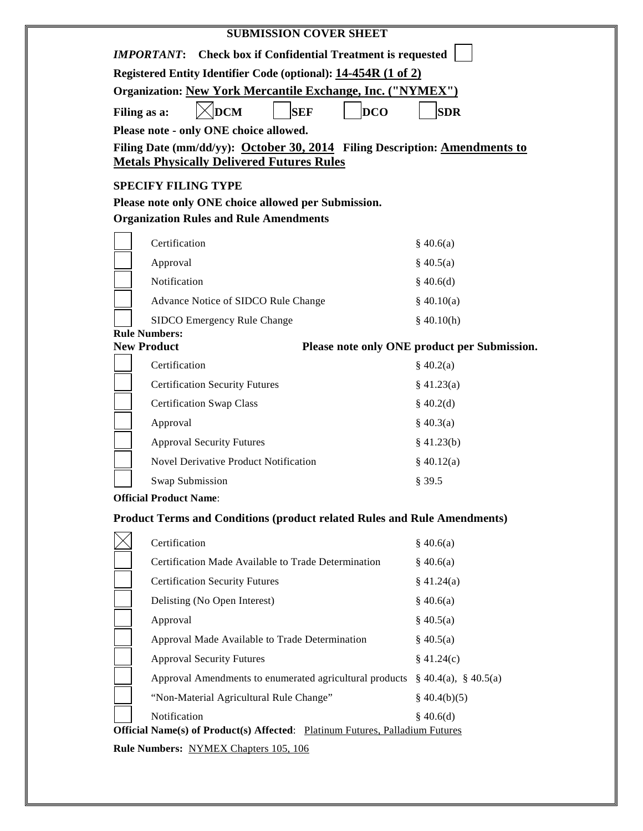| <b>Check box if Confidential Treatment is requested</b><br><i><b>IMPORTANT:</b></i>                                                 |                                                                                                                                                                                                                                                                                                                                                                                                                                                                                                                                                                          |
|-------------------------------------------------------------------------------------------------------------------------------------|--------------------------------------------------------------------------------------------------------------------------------------------------------------------------------------------------------------------------------------------------------------------------------------------------------------------------------------------------------------------------------------------------------------------------------------------------------------------------------------------------------------------------------------------------------------------------|
| Registered Entity Identifier Code (optional): 14-454R (1 of 2)<br><b>Organization: New York Mercantile Exchange, Inc. ("NYMEX")</b> |                                                                                                                                                                                                                                                                                                                                                                                                                                                                                                                                                                          |
|                                                                                                                                     |                                                                                                                                                                                                                                                                                                                                                                                                                                                                                                                                                                          |
|                                                                                                                                     |                                                                                                                                                                                                                                                                                                                                                                                                                                                                                                                                                                          |
|                                                                                                                                     |                                                                                                                                                                                                                                                                                                                                                                                                                                                                                                                                                                          |
|                                                                                                                                     |                                                                                                                                                                                                                                                                                                                                                                                                                                                                                                                                                                          |
|                                                                                                                                     |                                                                                                                                                                                                                                                                                                                                                                                                                                                                                                                                                                          |
|                                                                                                                                     |                                                                                                                                                                                                                                                                                                                                                                                                                                                                                                                                                                          |
|                                                                                                                                     |                                                                                                                                                                                                                                                                                                                                                                                                                                                                                                                                                                          |
|                                                                                                                                     | \$40.6(a)                                                                                                                                                                                                                                                                                                                                                                                                                                                                                                                                                                |
| Approval                                                                                                                            | \$40.5(a)                                                                                                                                                                                                                                                                                                                                                                                                                                                                                                                                                                |
|                                                                                                                                     | \$40.6(d)                                                                                                                                                                                                                                                                                                                                                                                                                                                                                                                                                                |
|                                                                                                                                     | \$40.10(a)                                                                                                                                                                                                                                                                                                                                                                                                                                                                                                                                                               |
| SIDCO Emergency Rule Change                                                                                                         | \$40.10(h)                                                                                                                                                                                                                                                                                                                                                                                                                                                                                                                                                               |
|                                                                                                                                     | Please note only ONE product per Submission.                                                                                                                                                                                                                                                                                                                                                                                                                                                                                                                             |
| Certification                                                                                                                       | \$40.2(a)                                                                                                                                                                                                                                                                                                                                                                                                                                                                                                                                                                |
| <b>Certification Security Futures</b>                                                                                               | $§$ 41.23(a)                                                                                                                                                                                                                                                                                                                                                                                                                                                                                                                                                             |
| <b>Certification Swap Class</b>                                                                                                     | \$40.2(d)                                                                                                                                                                                                                                                                                                                                                                                                                                                                                                                                                                |
| Approval                                                                                                                            | \$40.3(a)                                                                                                                                                                                                                                                                                                                                                                                                                                                                                                                                                                |
| <b>Approval Security Futures</b>                                                                                                    | \$41.23(b)                                                                                                                                                                                                                                                                                                                                                                                                                                                                                                                                                               |
| <b>Novel Derivative Product Notification</b>                                                                                        | \$40.12(a)                                                                                                                                                                                                                                                                                                                                                                                                                                                                                                                                                               |
| Swap Submission                                                                                                                     | § 39.5                                                                                                                                                                                                                                                                                                                                                                                                                                                                                                                                                                   |
|                                                                                                                                     |                                                                                                                                                                                                                                                                                                                                                                                                                                                                                                                                                                          |
|                                                                                                                                     |                                                                                                                                                                                                                                                                                                                                                                                                                                                                                                                                                                          |
| Certification                                                                                                                       | \$40.6(a)                                                                                                                                                                                                                                                                                                                                                                                                                                                                                                                                                                |
| Certification Made Available to Trade Determination                                                                                 | \$40.6(a)                                                                                                                                                                                                                                                                                                                                                                                                                                                                                                                                                                |
| <b>Certification Security Futures</b>                                                                                               | \$41.24(a)                                                                                                                                                                                                                                                                                                                                                                                                                                                                                                                                                               |
| Delisting (No Open Interest)                                                                                                        | \$40.6(a)                                                                                                                                                                                                                                                                                                                                                                                                                                                                                                                                                                |
| Approval                                                                                                                            | \$40.5(a)                                                                                                                                                                                                                                                                                                                                                                                                                                                                                                                                                                |
| Approval Made Available to Trade Determination                                                                                      | \$40.5(a)                                                                                                                                                                                                                                                                                                                                                                                                                                                                                                                                                                |
| <b>Approval Security Futures</b>                                                                                                    | \$41.24(c)                                                                                                                                                                                                                                                                                                                                                                                                                                                                                                                                                               |
| Approval Amendments to enumerated agricultural products                                                                             | $\S$ 40.4(a), $\S$ 40.5(a)                                                                                                                                                                                                                                                                                                                                                                                                                                                                                                                                               |
|                                                                                                                                     |                                                                                                                                                                                                                                                                                                                                                                                                                                                                                                                                                                          |
|                                                                                                                                     | Filing as a:<br>Please note - only ONE choice allowed.<br>Filing Date (mm/dd/yy): October 30, 2014 Filing Description: Amendments to<br><b>Metals Physically Delivered Futures Rules</b><br><b>SPECIFY FILING TYPE</b><br>Please note only ONE choice allowed per Submission.<br><b>Organization Rules and Rule Amendments</b><br>Certification<br>Notification<br>Advance Notice of SIDCO Rule Change<br><b>Rule Numbers:</b><br><b>New Product</b><br><b>Official Product Name:</b><br><b>Product Terms and Conditions (product related Rules and Rule Amendments)</b> |

**Rule Numbers:** NYMEX Chapters 105, 106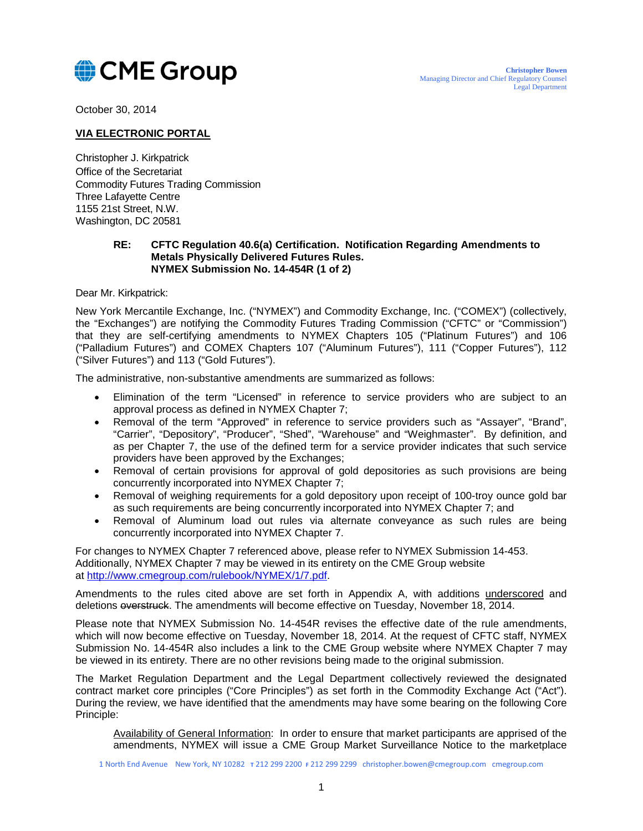

October 30, 2014

## **VIA ELECTRONIC PORTAL**

Christopher J. Kirkpatrick Office of the Secretariat Commodity Futures Trading Commission Three Lafayette Centre 1155 21st Street, N.W. Washington, DC 20581

## **RE: CFTC Regulation 40.6(a) Certification. Notification Regarding Amendments to Metals Physically Delivered Futures Rules. NYMEX Submission No. 14-454R (1 of 2)**

Dear Mr. Kirkpatrick:

New York Mercantile Exchange, Inc. ("NYMEX") and Commodity Exchange, Inc. ("COMEX") (collectively, the "Exchanges") are notifying the Commodity Futures Trading Commission ("CFTC" or "Commission") that they are self-certifying amendments to NYMEX Chapters 105 ("Platinum Futures") and 106 ("Palladium Futures") and COMEX Chapters 107 ("Aluminum Futures"), 111 ("Copper Futures"), 112 ("Silver Futures") and 113 ("Gold Futures").

The administrative, non-substantive amendments are summarized as follows:

- Elimination of the term "Licensed" in reference to service providers who are subject to an approval process as defined in NYMEX Chapter 7;
- Removal of the term "Approved" in reference to service providers such as "Assayer", "Brand", "Carrier", "Depository", "Producer", "Shed", "Warehouse" and "Weighmaster". By definition, and as per Chapter 7, the use of the defined term for a service provider indicates that such service providers have been approved by the Exchanges;
- Removal of certain provisions for approval of gold depositories as such provisions are being concurrently incorporated into NYMEX Chapter 7;
- Removal of weighing requirements for a gold depository upon receipt of 100-troy ounce gold bar as such requirements are being concurrently incorporated into NYMEX Chapter 7; and
- Removal of Aluminum load out rules via alternate conveyance as such rules are being concurrently incorporated into NYMEX Chapter 7.

For changes to NYMEX Chapter 7 referenced above, please refer to NYMEX Submission 14-453. Additionally, NYMEX Chapter 7 may be viewed in its entirety on the CME Group website at [http://www.cmegroup.com/rulebook/NYMEX/1/7.pdf.](http://www.cmegroup.com/rulebook/NYMEX/1/7.pdf)

Amendments to the rules cited above are set forth in Appendix A, with additions underscored and deletions overstruck. The amendments will become effective on Tuesday, November 18, 2014.

Please note that NYMEX Submission No. 14-454R revises the effective date of the rule amendments, which will now become effective on Tuesday, November 18, 2014. At the request of CFTC staff, NYMEX Submission No. 14-454R also includes a link to the CME Group website where NYMEX Chapter 7 may be viewed in its entirety. There are no other revisions being made to the original submission.

The Market Regulation Department and the Legal Department collectively reviewed the designated contract market core principles ("Core Principles") as set forth in the Commodity Exchange Act ("Act"). During the review, we have identified that the amendments may have some bearing on the following Core Principle:

Availability of General Information: In order to ensure that market participants are apprised of the amendments, NYMEX will issue a CME Group Market Surveillance Notice to the marketplace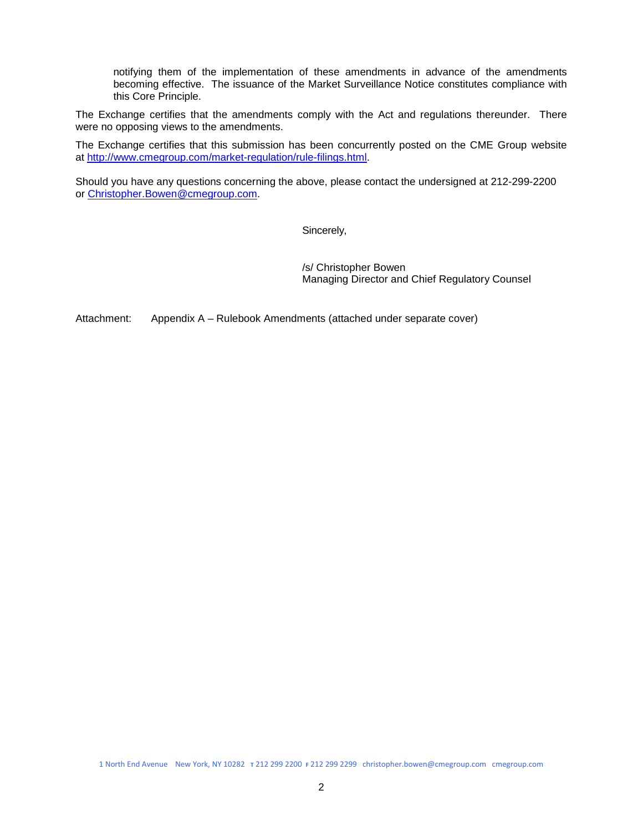notifying them of the implementation of these amendments in advance of the amendments becoming effective. The issuance of the Market Surveillance Notice constitutes compliance with this Core Principle.

The Exchange certifies that the amendments comply with the Act and regulations thereunder. There were no opposing views to the amendments.

The Exchange certifies that this submission has been concurrently posted on the CME Group website at [http://www.cmegroup.com/market-regulation/rule-filings.html.](http://www.cmegroup.com/market-regulation/rule-filings.html)

Should you have any questions concerning the above, please contact the undersigned at 212-299-2200 or [Christopher.Bowen@cmegroup.com.](mailto:Christopher.Bowen@cmegroup.com)

Sincerely,

/s/ Christopher Bowen Managing Director and Chief Regulatory Counsel

Attachment: Appendix A – Rulebook Amendments (attached under separate cover)